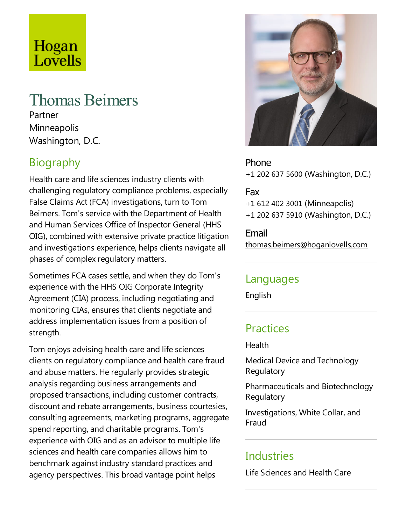# Hogan Lovells

# Thomas Beimers

Partner **Minneapolis** Washington, D.C.

# Biography

Health care and life sciences industry clients with challenging regulatory compliance problems, especially False Claims Act (FCA) investigations, turn to Tom Beimers.Tom's service with the Department of Health and Human Services Office of Inspector General (HHS OIG), combined with extensive private practice litigation and investigations experience, helps clients navigate all phases of complex regulatory matters.

Sometimes FCA cases settle, and when they do Tom's experience with the HHS OIG Corporate Integrity Agreement (CIA) process, including negotiating and monitoring CIAs, ensures that clients negotiate and address implementation issues from a position of strength.

Tom enjoys advising health care and life sciences clients on regulatory compliance and health care fraud and abuse matters. He regularly provides strategic analysis regarding business arrangements and proposed transactions, including customer contracts, discount and rebate arrangements, business courtesies, consulting agreements, marketing programs, aggregate spend reporting, and charitable programs. Tom's experience with OIG and as an advisor to multiple life sciences and health care companies allows him to benchmark against industry standard practices and agency perspectives.This broad vantage point helps



Phone +1 202 637 5600 (Washington, D.C.)

#### Fax

+1 612 402 3001 (Minneapolis) +1 202 637 5910 (Washington, D.C.)

Email thomas.beimers@hoganlovells.com

#### Languages

English

#### **Practices**

**Health** 

Medical Device and Technology Regulatory

Pharmaceuticals and Biotechnology Regulatory

Investigations, White Collar, and Fraud

#### **Industries**

Life Sciences and Health Care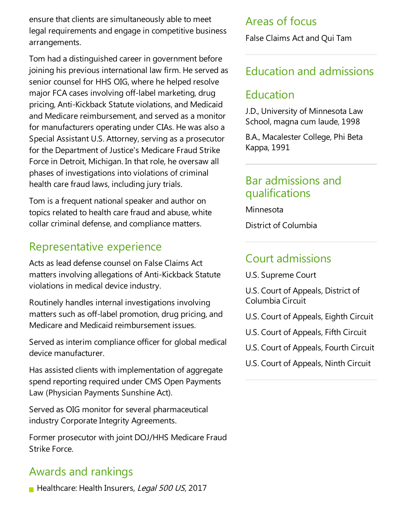ensure that clients are simultaneously able to meet legal requirements and engage in competitive business arrangements.

Tom had a distinguished career in government before joining his previous international law firm. He served as senior counsel for HHS OIG, where he helped resolve major FCA cases involving off-label marketing, drug pricing, Anti-Kickback Statute violations, and Medicaid and Medicare reimbursement, and served as a monitor for manufacturers operating under CIAs. He was also a Special Assistant U.S. Attorney, serving as a prosecutor for the Department of Justice's Medicare Fraud Strike Force in Detroit, Michigan. In that role, he oversaw all phases of investigations into violations of criminal health care fraud laws, including jury trials.

Tom is afrequent national speaker and author on topics related to health care fraud and abuse, white collar criminal defense, and compliance matters.

## Representative experience

Acts as lead defense counsel on False Claims Act matters involving allegations of Anti-Kickback Statute violations in medical device industry.

Routinely handles internal investigations involving matters such as off-label promotion, drug pricing, and Medicare and Medicaid reimbursement issues.

Served as interim compliance officer for global medical device manufacturer.

Has assisted clients with implementation of aggregate spend reporting required under CMS Open Payments Law (Physician Payments Sunshine Act).

Served as OIG monitor for several pharmaceutical industry Corporate Integrity Agreements.

Former prosecutor with joint DOJ/HHS Medicare Fraud Strike Force.

## Awards and rankings

Healthcare: Health Insurers, Legal 500 US, 2017

## Areas of focus

False Claims Act and Qui Tam

## Education and admissions

## Education

J.D., University of Minnesota Law School, magna cum laude, 1998

B.A., Macalester College, Phi Beta Kappa, 1991

#### Bar admissions and qualifications

Minnesota

District of Columbia

## Court admissions

U.S. Supreme Court

U.S. Court of Appeals, District of Columbia Circuit

- U.S. Court of Appeals, Eighth Circuit
- U.S. Court of Appeals, Fifth Circuit

U.S. Court of Appeals, Fourth Circuit

U.S. Court of Appeals, Ninth Circuit